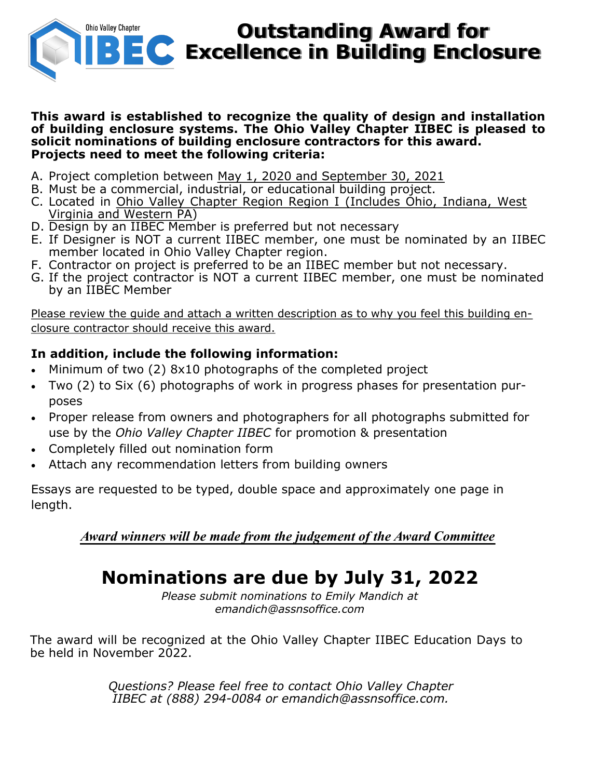

# **Outstanding Award for EC** Excellence in Building Enclosure

#### **This award is established to recognize the quality of design and installation of building enclosure systems. The Ohio Valley Chapter IIBEC is pleased to solicit nominations of building enclosure contractors for this award. Projects need to meet the following criteria:**

- A. Project completion between May 1, 2020 and September 30, 2021
- B. Must be a commercial, industrial, or educational building project.
- C. Located in Ohio Valley Chapter Region Region I (Includes Ohio, Indiana, West Virginia and Western PA)
- D. Design by an IIBEC Member is preferred but not necessary
- E. If Designer is NOT a current IIBEC member, one must be nominated by an IIBEC member located in Ohio Valley Chapter region.
- F. Contractor on project is preferred to be an IIBEC member but not necessary.
- G. If the project contractor is NOT a current IIBEC member, one must be nominated by an IIBEC Member

Please review the quide and attach a written description as to why you feel this building enclosure contractor should receive this award.

## **In addition, include the following information:**

- Minimum of two (2) 8x10 photographs of the completed project
- Two (2) to Six (6) photographs of work in progress phases for presentation purposes
- Proper release from owners and photographers for all photographs submitted for use by the *Ohio Valley Chapter IIBEC* for promotion & presentation
- Completely filled out nomination form
- Attach any recommendation letters from building owners

Essays are requested to be typed, double space and approximately one page in length.

*Award winners will be made from the judgement of the Award Committee*

# **Nominations are due by July 31, 2022**

*Please submit nominations to Emily Mandich at emandich@assnsoffice.com*

The award will be recognized at the Ohio Valley Chapter IIBEC Education Days to be held in November 2022.

> *Questions? Please feel free to contact Ohio Valley Chapter IIBEC at (888) 294-0084 or emandich@assnsoffice.com.*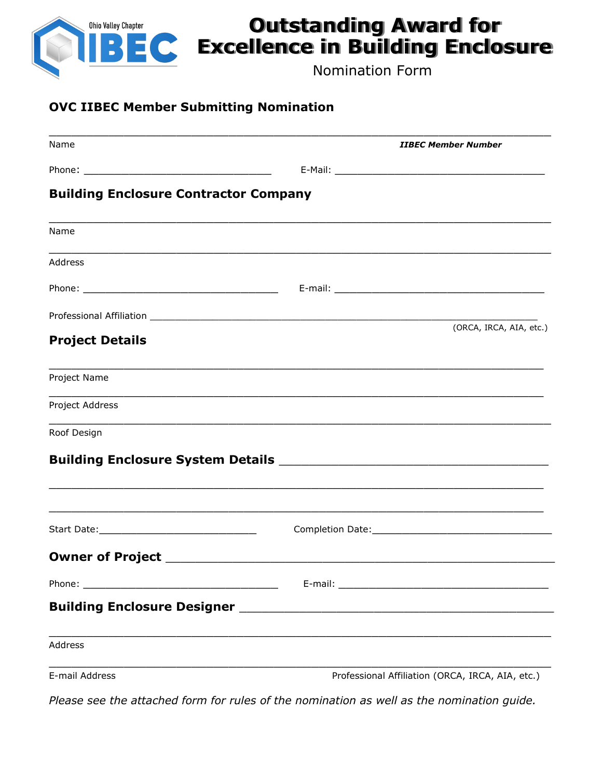

## **Outstanding Award for Excellence in Building Enclosure**

Nomination Form

### **OVC IIBEC Member Submitting Nomination**

| Name                                         | <b>IIBEC Member Number</b>                                                                                           |                         |
|----------------------------------------------|----------------------------------------------------------------------------------------------------------------------|-------------------------|
|                                              |                                                                                                                      |                         |
| <b>Building Enclosure Contractor Company</b> |                                                                                                                      |                         |
| Name                                         |                                                                                                                      |                         |
| Address                                      |                                                                                                                      |                         |
|                                              |                                                                                                                      |                         |
|                                              |                                                                                                                      |                         |
| <b>Project Details</b>                       |                                                                                                                      | (ORCA, IRCA, AIA, etc.) |
| Project Name                                 |                                                                                                                      |                         |
| Project Address                              |                                                                                                                      |                         |
| Roof Design                                  | <u> 1999 - Johann Barbara, martxa alemaniar argumentuar argumentuar argumentuar argumentuar argumentuar argument</u> |                         |
|                                              |                                                                                                                      |                         |
|                                              |                                                                                                                      |                         |
|                                              |                                                                                                                      |                         |
|                                              |                                                                                                                      |                         |
|                                              |                                                                                                                      |                         |
|                                              |                                                                                                                      |                         |
| <b>Address</b>                               |                                                                                                                      |                         |
|                                              |                                                                                                                      |                         |

E-mail Address **Professional Affiliation (ORCA, IRCA, AIA, etc.)** Professional Affiliation (ORCA, IRCA, AIA, etc.)

*Please see the attached form for rules of the nomination as well as the nomination guide.*